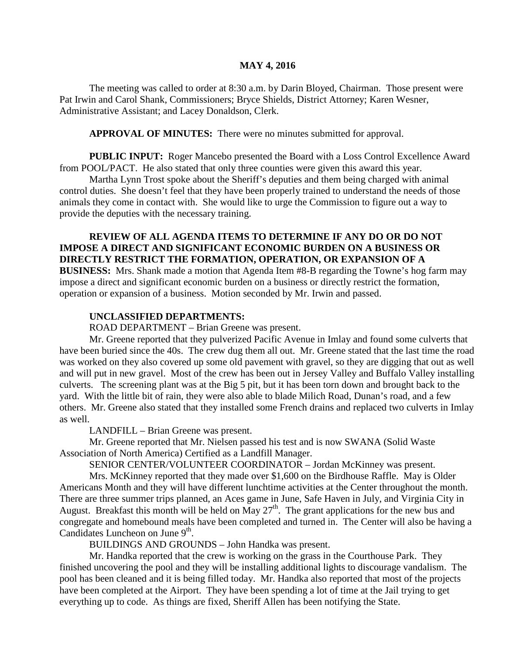## **MAY 4, 2016**

The meeting was called to order at 8:30 a.m. by Darin Bloyed, Chairman. Those present were Pat Irwin and Carol Shank, Commissioners; Bryce Shields, District Attorney; Karen Wesner, Administrative Assistant; and Lacey Donaldson, Clerk.

**APPROVAL OF MINUTES:** There were no minutes submitted for approval.

**PUBLIC INPUT:** Roger Mancebo presented the Board with a Loss Control Excellence Award from POOL/PACT. He also stated that only three counties were given this award this year.

Martha Lynn Trost spoke about the Sheriff's deputies and them being charged with animal control duties. She doesn't feel that they have been properly trained to understand the needs of those animals they come in contact with. She would like to urge the Commission to figure out a way to provide the deputies with the necessary training.

**REVIEW OF ALL AGENDA ITEMS TO DETERMINE IF ANY DO OR DO NOT IMPOSE A DIRECT AND SIGNIFICANT ECONOMIC BURDEN ON A BUSINESS OR DIRECTLY RESTRICT THE FORMATION, OPERATION, OR EXPANSION OF A BUSINESS:** Mrs. Shank made a motion that Agenda Item #8-B regarding the Towne's hog farm may impose a direct and significant economic burden on a business or directly restrict the formation, operation or expansion of a business. Motion seconded by Mr. Irwin and passed.

## **UNCLASSIFIED DEPARTMENTS:**

ROAD DEPARTMENT – Brian Greene was present.

Mr. Greene reported that they pulverized Pacific Avenue in Imlay and found some culverts that have been buried since the 40s. The crew dug them all out. Mr. Greene stated that the last time the road was worked on they also covered up some old pavement with gravel, so they are digging that out as well and will put in new gravel. Most of the crew has been out in Jersey Valley and Buffalo Valley installing culverts. The screening plant was at the Big 5 pit, but it has been torn down and brought back to the yard. With the little bit of rain, they were also able to blade Milich Road, Dunan's road, and a few others. Mr. Greene also stated that they installed some French drains and replaced two culverts in Imlay as well.

LANDFILL – Brian Greene was present.

Mr. Greene reported that Mr. Nielsen passed his test and is now SWANA (Solid Waste Association of North America) Certified as a Landfill Manager.

SENIOR CENTER/VOLUNTEER COORDINATOR – Jordan McKinney was present.

Mrs. McKinney reported that they made over \$1,600 on the Birdhouse Raffle. May is Older Americans Month and they will have different lunchtime activities at the Center throughout the month. There are three summer trips planned, an Aces game in June, Safe Haven in July, and Virginia City in August. Breakfast this month will be held on May  $27<sup>th</sup>$ . The grant applications for the new bus and congregate and homebound meals have been completed and turned in. The Center will also be having a Candidates Luncheon on June  $9<sup>th</sup>$ .

BUILDINGS AND GROUNDS – John Handka was present.

Mr. Handka reported that the crew is working on the grass in the Courthouse Park. They finished uncovering the pool and they will be installing additional lights to discourage vandalism. The pool has been cleaned and it is being filled today. Mr. Handka also reported that most of the projects have been completed at the Airport. They have been spending a lot of time at the Jail trying to get everything up to code. As things are fixed, Sheriff Allen has been notifying the State.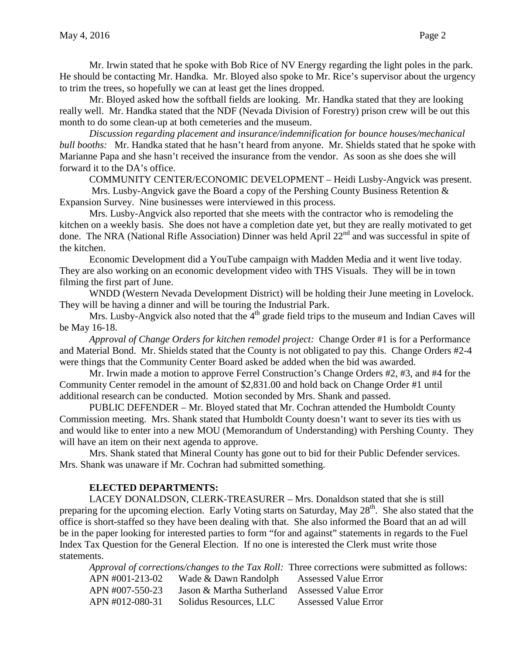Mr. Irwin stated that he spoke with Bob Rice of NV Energy regarding the light poles in the park. He should be contacting Mr. Handka. Mr. Bloyed also spoke to Mr. Rice's supervisor about the urgency to trim the trees, so hopefully we can at least get the lines dropped.

Mr. Bloyed asked how the softball fields are looking. Mr. Handka stated that they are looking really well. Mr. Handka stated that the NDF (Nevada Division of Forestry) prison crew will be out this month to do some clean-up at both cemeteries and the museum.

*Discussion regarding placement and insurance/indemnification for bounce houses/mechanical bull booths:* Mr. Handka stated that he hasn't heard from anyone. Mr. Shields stated that he spoke with Marianne Papa and she hasn't received the insurance from the vendor. As soon as she does she will forward it to the DA's office.

COMMUNITY CENTER/ECONOMIC DEVELOPMENT – Heidi Lusby-Angvick was present.

Mrs. Lusby-Angvick gave the Board a copy of the Pershing County Business Retention & Expansion Survey. Nine businesses were interviewed in this process.

Mrs. Lusby-Angvick also reported that she meets with the contractor who is remodeling the kitchen on a weekly basis. She does not have a completion date yet, but they are really motivated to get done. The NRA (National Rifle Association) Dinner was held April 22<sup>nd</sup> and was successful in spite of the kitchen.

Economic Development did a YouTube campaign with Madden Media and it went live today. They are also working on an economic development video with THS Visuals. They will be in town filming the first part of June.

WNDD (Western Nevada Development District) will be holding their June meeting in Lovelock. They will be having a dinner and will be touring the Industrial Park.

Mrs. Lusby-Angvick also noted that the  $4<sup>th</sup>$  grade field trips to the museum and Indian Caves will be May 16-18.

*Approval of Change Orders for kitchen remodel project:* Change Order #1 is for a Performance and Material Bond. Mr. Shields stated that the County is not obligated to pay this. Change Orders #2-4 were things that the Community Center Board asked be added when the bid was awarded.

Mr. Irwin made a motion to approve Ferrel Construction's Change Orders #2, #3, and #4 for the Community Center remodel in the amount of \$2,831.00 and hold back on Change Order #1 until additional research can be conducted. Motion seconded by Mrs. Shank and passed.

PUBLIC DEFENDER – Mr. Bloyed stated that Mr. Cochran attended the Humboldt County Commission meeting. Mrs. Shank stated that Humboldt County doesn't want to sever its ties with us and would like to enter into a new MOU (Memorandum of Understanding) with Pershing County. They will have an item on their next agenda to approve.

Mrs. Shank stated that Mineral County has gone out to bid for their Public Defender services. Mrs. Shank was unaware if Mr. Cochran had submitted something.

## **ELECTED DEPARTMENTS:**

LACEY DONALDSON, CLERK-TREASURER – Mrs. Donaldson stated that she is still preparing for the upcoming election. Early Voting starts on Saturday, May 28<sup>th</sup>. She also stated that the office is short-staffed so they have been dealing with that. She also informed the Board that an ad will be in the paper looking for interested parties to form "for and against" statements in regards to the Fuel Index Tax Question for the General Election. If no one is interested the Clerk must write those statements.

|                 | Approval of corrections/changes to the Tax Roll: Three corrections were submitted as follows: |                             |  |
|-----------------|-----------------------------------------------------------------------------------------------|-----------------------------|--|
| APN #001-213-02 | Wade & Dawn Randolph Assessed Value Error                                                     |                             |  |
| APN #007-550-23 | Jason & Martha Sutherland Assessed Value Error                                                |                             |  |
| APN #012-080-31 | Solidus Resources, LLC                                                                        | <b>Assessed Value Error</b> |  |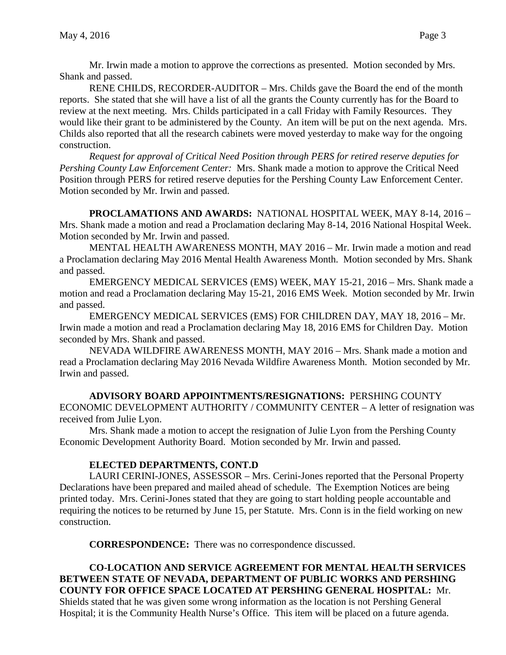Mr. Irwin made a motion to approve the corrections as presented. Motion seconded by Mrs. Shank and passed.

RENE CHILDS, RECORDER-AUDITOR – Mrs. Childs gave the Board the end of the month reports. She stated that she will have a list of all the grants the County currently has for the Board to review at the next meeting. Mrs. Childs participated in a call Friday with Family Resources. They would like their grant to be administered by the County. An item will be put on the next agenda. Mrs. Childs also reported that all the research cabinets were moved yesterday to make way for the ongoing construction.

*Request for approval of Critical Need Position through PERS for retired reserve deputies for Pershing County Law Enforcement Center:* Mrs. Shank made a motion to approve the Critical Need Position through PERS for retired reserve deputies for the Pershing County Law Enforcement Center. Motion seconded by Mr. Irwin and passed.

**PROCLAMATIONS AND AWARDS:** NATIONAL HOSPITAL WEEK, MAY 8-14, 2016 – Mrs. Shank made a motion and read a Proclamation declaring May 8-14, 2016 National Hospital Week. Motion seconded by Mr. Irwin and passed.

MENTAL HEALTH AWARENESS MONTH, MAY 2016 – Mr. Irwin made a motion and read a Proclamation declaring May 2016 Mental Health Awareness Month. Motion seconded by Mrs. Shank and passed.

EMERGENCY MEDICAL SERVICES (EMS) WEEK, MAY 15-21, 2016 – Mrs. Shank made a motion and read a Proclamation declaring May 15-21, 2016 EMS Week. Motion seconded by Mr. Irwin and passed.

EMERGENCY MEDICAL SERVICES (EMS) FOR CHILDREN DAY, MAY 18, 2016 – Mr. Irwin made a motion and read a Proclamation declaring May 18, 2016 EMS for Children Day. Motion seconded by Mrs. Shank and passed.

NEVADA WILDFIRE AWARENESS MONTH, MAY 2016 – Mrs. Shank made a motion and read a Proclamation declaring May 2016 Nevada Wildfire Awareness Month. Motion seconded by Mr. Irwin and passed.

**ADVISORY BOARD APPOINTMENTS/RESIGNATIONS:** PERSHING COUNTY ECONOMIC DEVELOPMENT AUTHORITY / COMMUNITY CENTER – A letter of resignation was received from Julie Lyon.

Mrs. Shank made a motion to accept the resignation of Julie Lyon from the Pershing County Economic Development Authority Board. Motion seconded by Mr. Irwin and passed.

## **ELECTED DEPARTMENTS, CONT.D**

LAURI CERINI-JONES, ASSESSOR – Mrs. Cerini-Jones reported that the Personal Property Declarations have been prepared and mailed ahead of schedule. The Exemption Notices are being printed today. Mrs. Cerini-Jones stated that they are going to start holding people accountable and requiring the notices to be returned by June 15, per Statute. Mrs. Conn is in the field working on new construction.

**CORRESPONDENCE:** There was no correspondence discussed.

**CO-LOCATION AND SERVICE AGREEMENT FOR MENTAL HEALTH SERVICES BETWEEN STATE OF NEVADA, DEPARTMENT OF PUBLIC WORKS AND PERSHING COUNTY FOR OFFICE SPACE LOCATED AT PERSHING GENERAL HOSPITAL:** Mr. Shields stated that he was given some wrong information as the location is not Pershing General Hospital; it is the Community Health Nurse's Office. This item will be placed on a future agenda.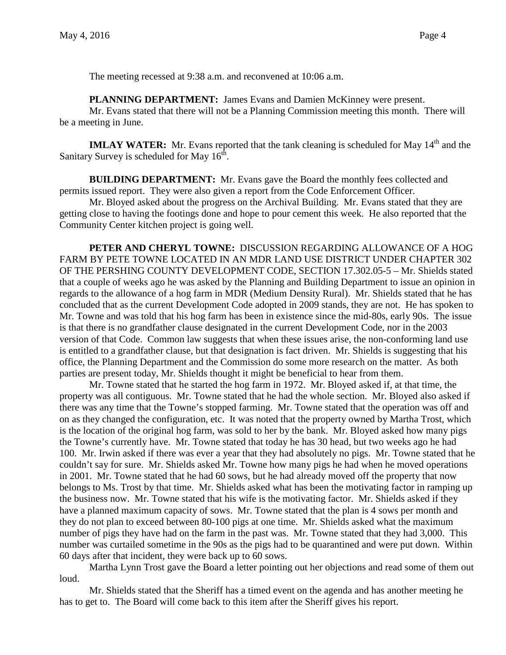The meeting recessed at 9:38 a.m. and reconvened at 10:06 a.m.

**PLANNING DEPARTMENT:** James Evans and Damien McKinney were present.

Mr. Evans stated that there will not be a Planning Commission meeting this month. There will be a meeting in June.

**IMLAY WATER:** Mr. Evans reported that the tank cleaning is scheduled for May 14<sup>th</sup> and the Sanitary Survey is scheduled for May  $16<sup>th</sup>$ .

**BUILDING DEPARTMENT:** Mr. Evans gave the Board the monthly fees collected and permits issued report. They were also given a report from the Code Enforcement Officer.

Mr. Bloyed asked about the progress on the Archival Building. Mr. Evans stated that they are getting close to having the footings done and hope to pour cement this week. He also reported that the Community Center kitchen project is going well.

**PETER AND CHERYL TOWNE:** DISCUSSION REGARDING ALLOWANCE OF A HOG FARM BY PETE TOWNE LOCATED IN AN MDR LAND USE DISTRICT UNDER CHAPTER 302 OF THE PERSHING COUNTY DEVELOPMENT CODE, SECTION 17.302.05-5 – Mr. Shields stated that a couple of weeks ago he was asked by the Planning and Building Department to issue an opinion in regards to the allowance of a hog farm in MDR (Medium Density Rural). Mr. Shields stated that he has concluded that as the current Development Code adopted in 2009 stands, they are not. He has spoken to Mr. Towne and was told that his hog farm has been in existence since the mid-80s, early 90s. The issue is that there is no grandfather clause designated in the current Development Code, nor in the 2003 version of that Code. Common law suggests that when these issues arise, the non-conforming land use is entitled to a grandfather clause, but that designation is fact driven. Mr. Shields is suggesting that his office, the Planning Department and the Commission do some more research on the matter. As both parties are present today, Mr. Shields thought it might be beneficial to hear from them.

Mr. Towne stated that he started the hog farm in 1972. Mr. Bloyed asked if, at that time, the property was all contiguous. Mr. Towne stated that he had the whole section. Mr. Bloyed also asked if there was any time that the Towne's stopped farming. Mr. Towne stated that the operation was off and on as they changed the configuration, etc. It was noted that the property owned by Martha Trost, which is the location of the original hog farm, was sold to her by the bank. Mr. Bloyed asked how many pigs the Towne's currently have. Mr. Towne stated that today he has 30 head, but two weeks ago he had 100. Mr. Irwin asked if there was ever a year that they had absolutely no pigs. Mr. Towne stated that he couldn't say for sure. Mr. Shields asked Mr. Towne how many pigs he had when he moved operations in 2001. Mr. Towne stated that he had 60 sows, but he had already moved off the property that now belongs to Ms. Trost by that time. Mr. Shields asked what has been the motivating factor in ramping up the business now. Mr. Towne stated that his wife is the motivating factor. Mr. Shields asked if they have a planned maximum capacity of sows. Mr. Towne stated that the plan is 4 sows per month and they do not plan to exceed between 80-100 pigs at one time. Mr. Shields asked what the maximum number of pigs they have had on the farm in the past was. Mr. Towne stated that they had 3,000. This number was curtailed sometime in the 90s as the pigs had to be quarantined and were put down. Within 60 days after that incident, they were back up to 60 sows.

Martha Lynn Trost gave the Board a letter pointing out her objections and read some of them out loud.

Mr. Shields stated that the Sheriff has a timed event on the agenda and has another meeting he has to get to. The Board will come back to this item after the Sheriff gives his report.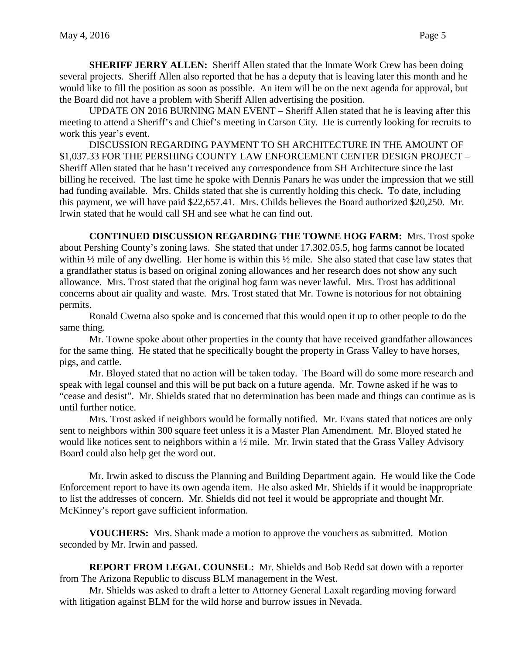**SHERIFF JERRY ALLEN:** Sheriff Allen stated that the Inmate Work Crew has been doing several projects. Sheriff Allen also reported that he has a deputy that is leaving later this month and he would like to fill the position as soon as possible. An item will be on the next agenda for approval, but the Board did not have a problem with Sheriff Allen advertising the position.

UPDATE ON 2016 BURNING MAN EVENT – Sheriff Allen stated that he is leaving after this meeting to attend a Sheriff's and Chief's meeting in Carson City. He is currently looking for recruits to work this year's event.

DISCUSSION REGARDING PAYMENT TO SH ARCHITECTURE IN THE AMOUNT OF \$1,037.33 FOR THE PERSHING COUNTY LAW ENFORCEMENT CENTER DESIGN PROJECT – Sheriff Allen stated that he hasn't received any correspondence from SH Architecture since the last billing he received. The last time he spoke with Dennis Panars he was under the impression that we still had funding available. Mrs. Childs stated that she is currently holding this check. To date, including this payment, we will have paid \$22,657.41. Mrs. Childs believes the Board authorized \$20,250. Mr. Irwin stated that he would call SH and see what he can find out.

**CONTINUED DISCUSSION REGARDING THE TOWNE HOG FARM:** Mrs. Trost spoke about Pershing County's zoning laws. She stated that under 17.302.05.5, hog farms cannot be located within ½ mile of any dwelling. Her home is within this ½ mile. She also stated that case law states that a grandfather status is based on original zoning allowances and her research does not show any such allowance. Mrs. Trost stated that the original hog farm was never lawful. Mrs. Trost has additional concerns about air quality and waste. Mrs. Trost stated that Mr. Towne is notorious for not obtaining permits.

Ronald Cwetna also spoke and is concerned that this would open it up to other people to do the same thing.

Mr. Towne spoke about other properties in the county that have received grandfather allowances for the same thing. He stated that he specifically bought the property in Grass Valley to have horses, pigs, and cattle.

Mr. Bloyed stated that no action will be taken today. The Board will do some more research and speak with legal counsel and this will be put back on a future agenda. Mr. Towne asked if he was to "cease and desist". Mr. Shields stated that no determination has been made and things can continue as is until further notice.

Mrs. Trost asked if neighbors would be formally notified. Mr. Evans stated that notices are only sent to neighbors within 300 square feet unless it is a Master Plan Amendment. Mr. Bloyed stated he would like notices sent to neighbors within a ½ mile. Mr. Irwin stated that the Grass Valley Advisory Board could also help get the word out.

Mr. Irwin asked to discuss the Planning and Building Department again. He would like the Code Enforcement report to have its own agenda item. He also asked Mr. Shields if it would be inappropriate to list the addresses of concern. Mr. Shields did not feel it would be appropriate and thought Mr. McKinney's report gave sufficient information.

**VOUCHERS:** Mrs. Shank made a motion to approve the vouchers as submitted. Motion seconded by Mr. Irwin and passed.

**REPORT FROM LEGAL COUNSEL:** Mr. Shields and Bob Redd sat down with a reporter from The Arizona Republic to discuss BLM management in the West.

Mr. Shields was asked to draft a letter to Attorney General Laxalt regarding moving forward with litigation against BLM for the wild horse and burrow issues in Nevada.